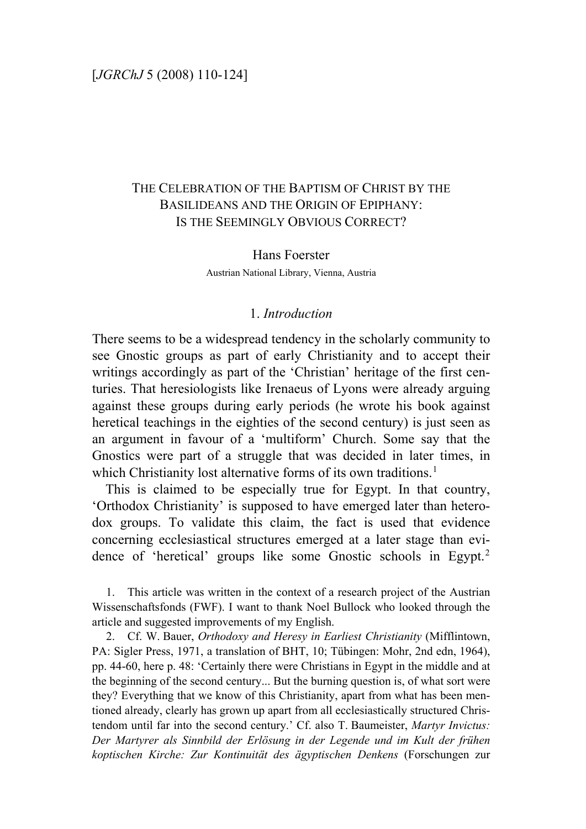# THE CELEBRATION OF THE BAPTISM OF CHRIST BY THE BASILIDEANS AND THE ORIGIN OF EPIPHANY: IS THE SEEMINGLY OBVIOUS CORRECT?

# Hans Foerster Austrian National Library, Vienna, Austria

#### 1. *Introduction*

There seems to be a widespread tendency in the scholarly community to see Gnostic groups as part of early Christianity and to accept their writings accordingly as part of the 'Christian' heritage of the first centuries. That heresiologists like Irenaeus of Lyons were already arguing against these groups during early periods (he wrote his book against heretical teachings in the eighties of the second century) is just seen as an argument in favour of a 'multiform' Church. Some say that the Gnostics were part of a struggle that was decided in later times, in which Christianity lost alternative forms of its own traditions.<sup>[1](#page-0-0)</sup>

 This is claimed to be especially true for Egypt. In that country, 'Orthodox Christianity' is supposed to have emerged later than heterodox groups. To validate this claim, the fact is used that evidence concerning ecclesiastical structures emerged at a later stage than evi-dence of 'heretical' groups like some Gnostic schools in Egypt.<sup>[2](#page-0-1)</sup>

<span id="page-0-0"></span>1. This article was written in the context of a research project of the Austrian Wissenschaftsfonds (FWF). I want to thank Noel Bullock who looked through the article and suggested improvements of my English.

<span id="page-0-1"></span>2. Cf. W. Bauer, *Orthodoxy and Heresy in Earliest Christianity* (Mifflintown, PA: Sigler Press, 1971, a translation of BHT, 10; Tübingen: Mohr, 2nd edn, 1964), pp. 44-60, here p. 48: 'Certainly there were Christians in Egypt in the middle and at the beginning of the second century... But the burning question is, of what sort were they? Everything that we know of this Christianity, apart from what has been mentioned already, clearly has grown up apart from all ecclesiastically structured Christendom until far into the second century.' Cf. also T. Baumeister, *Martyr Invictus: Der Martyrer als Sinnbild der Erlösung in der Legende und im Kult der frühen koptischen Kirche: Zur Kontinuität des ägyptischen Denkens* (Forschungen zur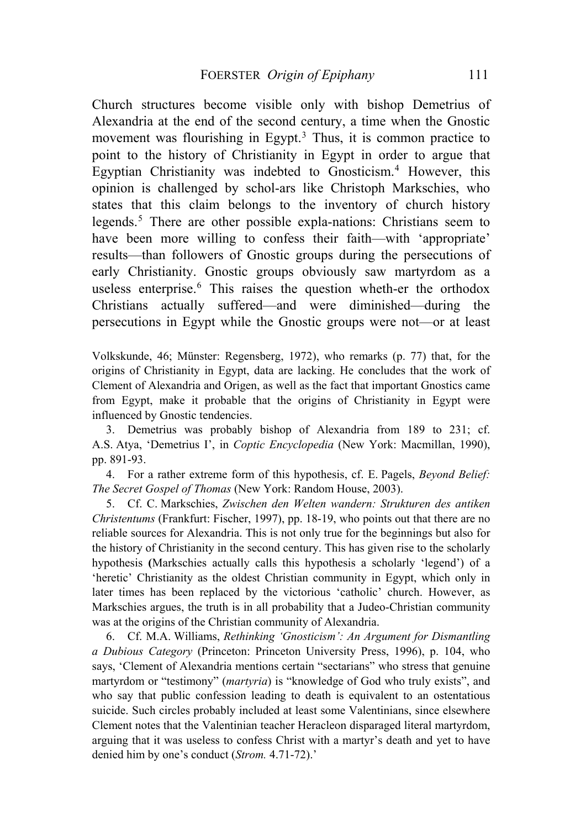Church structures become visible only with bishop Demetrius of Alexandria at the end of the second century, a time when the Gnostic movement was flourishing in Egypt.<sup>[3](#page-1-0)</sup> Thus, it is common practice to point to the history of Christianity in Egypt in order to argue that Egyptian Christianity was indebted to Gnosticism.<sup>[4](#page-1-1)</sup> However, this opinion is challenged by schol-ars like Christoph Markschies, who states that this claim belongs to the inventory of church history legends.[5](#page-1-2) There are other possible expla-nations: Christians seem to have been more willing to confess their faith—with 'appropriate' results—than followers of Gnostic groups during the persecutions of early Christianity. Gnostic groups obviously saw martyrdom as a useless enterprise.<sup>[6](#page-1-3)</sup> This raises the question wheth-er the orthodox Christians actually suffered—and were diminished—during the persecutions in Egypt while the Gnostic groups were not—or at least

Volkskunde, 46; Münster: Regensberg, 1972), who remarks (p. 77) that, for the origins of Christianity in Egypt, data are lacking. He concludes that the work of Clement of Alexandria and Origen, as well as the fact that important Gnostics came from Egypt, make it probable that the origins of Christianity in Egypt were influenced by Gnostic tendencies.

<span id="page-1-0"></span>3. Demetrius was probably bishop of Alexandria from 189 to 231; cf. A.S. Atya, 'Demetrius I', in *Coptic Encyclopedia* (New York: Macmillan, 1990), pp. 891-93.

<span id="page-1-1"></span>4. For a rather extreme form of this hypothesis, cf. E. Pagels, *Beyond Belief: The Secret Gospel of Thomas* (New York: Random House, 2003).

<span id="page-1-2"></span>5. Cf. C. Markschies, *Zwischen den Welten wandern: Strukturen des antiken Christentums* (Frankfurt: Fischer, 1997), pp. 18-19, who points out that there are no reliable sources for Alexandria. This is not only true for the beginnings but also for the history of Christianity in the second century. This has given rise to the scholarly hypothesis **(**Markschies actually calls this hypothesis a scholarly 'legend') of a 'heretic' Christianity as the oldest Christian community in Egypt, which only in later times has been replaced by the victorious 'catholic' church. However, as Markschies argues, the truth is in all probability that a Judeo-Christian community was at the origins of the Christian community of Alexandria.

<span id="page-1-3"></span>6. Cf. M.A. Williams, *Rethinking 'Gnosticism': An Argument for Dismantling a Dubious Category* (Princeton: Princeton University Press, 1996), p. 104, who says, 'Clement of Alexandria mentions certain "sectarians" who stress that genuine martyrdom or "testimony" (*martyria*) is "knowledge of God who truly exists", and who say that public confession leading to death is equivalent to an ostentatious suicide. Such circles probably included at least some Valentinians, since elsewhere Clement notes that the Valentinian teacher Heracleon disparaged literal martyrdom, arguing that it was useless to confess Christ with a martyr's death and yet to have denied him by one's conduct (*Strom.* 4.71-72).'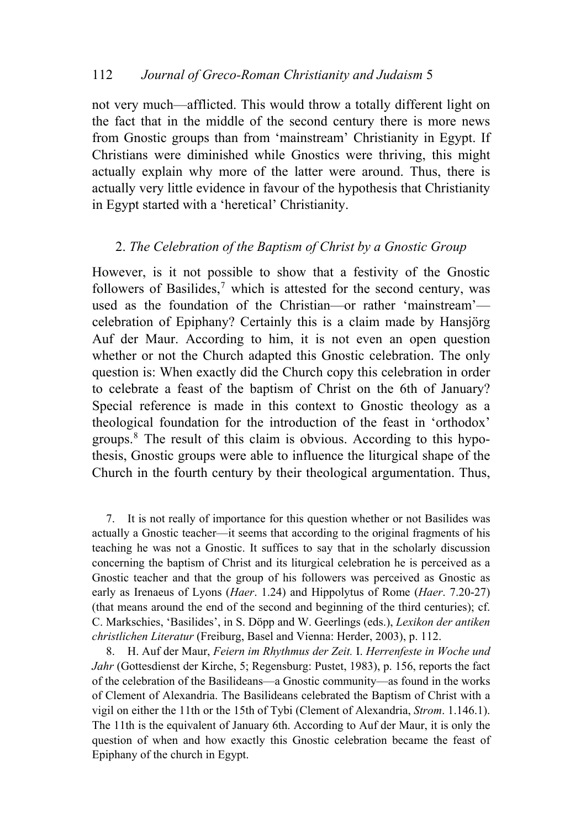not very much—afflicted. This would throw a totally different light on the fact that in the middle of the second century there is more news from Gnostic groups than from 'mainstream' Christianity in Egypt. If Christians were diminished while Gnostics were thriving, this might actually explain why more of the latter were around. Thus, there is actually very little evidence in favour of the hypothesis that Christianity in Egypt started with a 'heretical' Christianity.

## 2. *The Celebration of the Baptism of Christ by a Gnostic Group*

However, is it not possible to show that a festivity of the Gnostic followers of Basilides,<sup>[7](#page-2-0)</sup> which is attested for the second century, was used as the foundation of the Christian—or rather 'mainstream' celebration of Epiphany? Certainly this is a claim made by Hansjörg Auf der Maur. According to him, it is not even an open question whether or not the Church adapted this Gnostic celebration. The only question is: When exactly did the Church copy this celebration in order to celebrate a feast of the baptism of Christ on the 6th of January? Special reference is made in this context to Gnostic theology as a theological foundation for the introduction of the feast in 'orthodox' groups.[8](#page-2-1) The result of this claim is obvious. According to this hypothesis, Gnostic groups were able to influence the liturgical shape of the Church in the fourth century by their theological argumentation. Thus,

<span id="page-2-0"></span>7. It is not really of importance for this question whether or not Basilides was actually a Gnostic teacher—it seems that according to the original fragments of his teaching he was not a Gnostic. It suffices to say that in the scholarly discussion concerning the baptism of Christ and its liturgical celebration he is perceived as a Gnostic teacher and that the group of his followers was perceived as Gnostic as early as Irenaeus of Lyons (*Haer*. 1.24) and Hippolytus of Rome (*Haer*. 7.20-27) (that means around the end of the second and beginning of the third centuries); cf. C. Markschies, 'Basilides', in S. Döpp and W. Geerlings (eds.), *Lexikon der antiken christlichen Literatur* (Freiburg, Basel and Vienna: Herder, 2003), p. 112.

<span id="page-2-1"></span>8. H. Auf der Maur, *Feiern im Rhythmus der Zeit.* I. *Herrenfeste in Woche und Jahr* (Gottesdienst der Kirche, 5; Regensburg: Pustet, 1983), p. 156, reports the fact of the celebration of the Basilideans—a Gnostic community—as found in the works of Clement of Alexandria. The Basilideans celebrated the Baptism of Christ with a vigil on either the 11th or the 15th of Tybi (Clement of Alexandria, *Strom*. 1.146.1). The 11th is the equivalent of January 6th. According to Auf der Maur, it is only the question of when and how exactly this Gnostic celebration became the feast of Epiphany of the church in Egypt.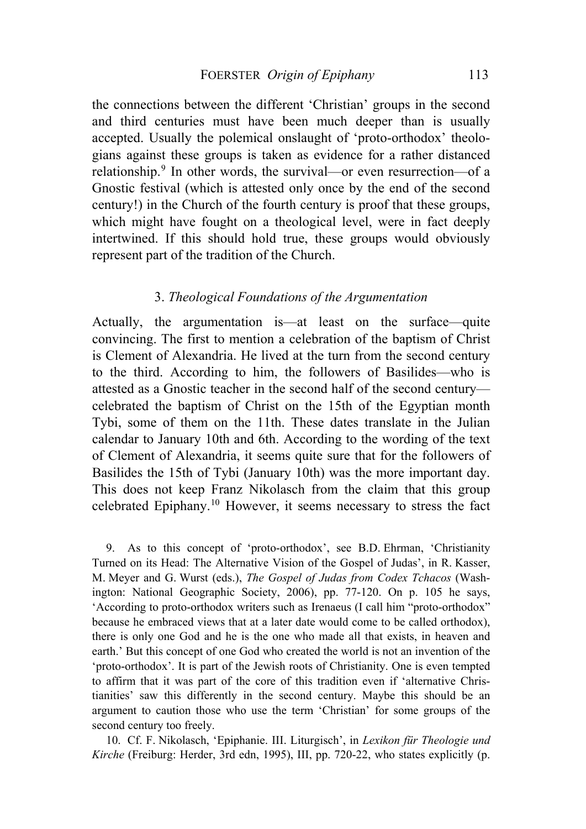the connections between the different 'Christian' groups in the second and third centuries must have been much deeper than is usually accepted. Usually the polemical onslaught of 'proto-orthodox' theologians against these groups is taken as evidence for a rather distanced relationship.<sup>[9](#page-3-0)</sup> In other words, the survival—or even resurrection—of a Gnostic festival (which is attested only once by the end of the second century!) in the Church of the fourth century is proof that these groups, which might have fought on a theological level, were in fact deeply intertwined. If this should hold true, these groups would obviously represent part of the tradition of the Church.

#### 3. *Theological Foundations of the Argumentation*

celebrated Epiphany.10 However, it seems necessary to stress the fact Actually, the argumentation is—at least on the surface—quite convincing. The first to mention a celebration of the baptism of Christ is Clement of Alexandria. He lived at the turn from the second century to the third. According to him, the followers of Basilides—who is attested as a Gnostic teacher in the second half of the second century celebrated the baptism of Christ on the 15th of the Egyptian month Tybi, some of them on the 11th. These dates translate in the Julian calendar to January 10th and 6th. According to the wording of the text of Clement of Alexandria, it seems quite sure that for the followers of Basilides the 15th of Tybi (January 10th) was the more important day. This does not keep Franz Nikolasch from the claim that this group

<span id="page-3-0"></span>argument to caution those who use the term 'Christian' for some groups of the sec ond century too freely. 9. As to this concept of 'proto-orthodox', see B.D. Ehrman, 'Christianity Turned on its Head: The Alternative Vision of the Gospel of Judas', in R. Kasser, M. Meyer and G. Wurst (eds.), *The Gospel of Judas from Codex Tchacos* (Washington: National Geographic Society, 2006), pp. 77-120. On p. 105 he says, 'According to proto-orthodox writers such as Irenaeus (I call him "proto-orthodox" because he embraced views that at a later date would come to be called orthodox), there is only one God and he is the one who made all that exists, in heaven and earth.' But this concept of one God who created the world is not an invention of the 'proto-orthodox'. It is part of the Jewish roots of Christianity. One is even tempted to affirm that it was part of the core of this tradition even if 'alternative Christianities' saw this differently in the second century. Maybe this should be an

10. Cf. F. Nikolasch, 'Epiphanie. III. Liturgisch', in *Lexikon für Theologie und Kirche* (Freiburg: Herder, 3rd edn, 1995), III, pp. 720-22, who states explicitly (p.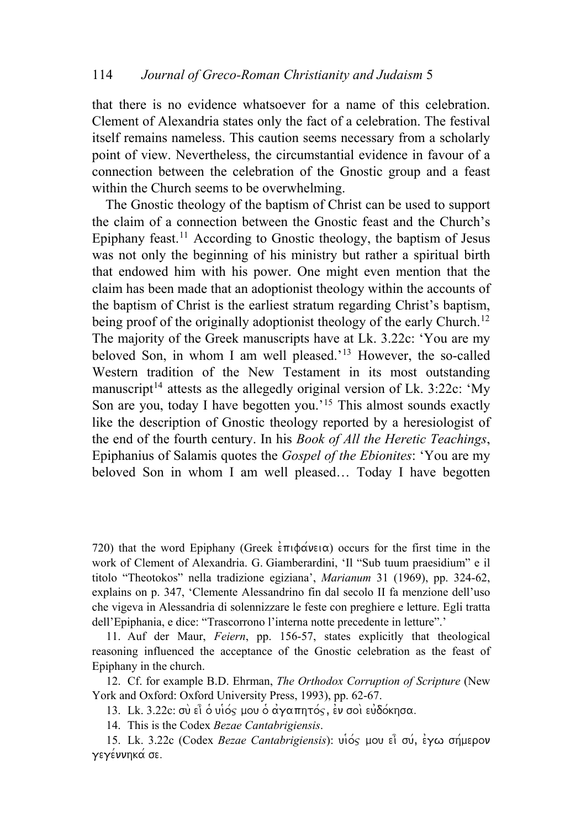that there is no evidence whatsoever for a name of this celebration. Clement of Alexandria states only the fact of a celebration. The festival itself remains nameless. This caution seems necessary from a scholarly point of view. Nevertheless, the circumstantial evidence in favour of a connection between the celebration of the Gnostic group and a feast within the Church seems to be overwhelming.

 The Gnostic theology of the baptism of Christ can be used to support the claim of a connection between the Gnostic feast and the Church's Epiphany feast.<sup>[11](#page-4-0)</sup> According to Gnostic theology, the baptism of Jesus was not only the beginning of his ministry but rather a spiritual birth that endowed him with his power. One might even mention that the claim has been made that an adoptionist theology within the accounts of the baptism of Christ is the earliest stratum regarding Christ's baptism, being proof of the originally adoptionist theology of the early Church.<sup>[12](#page-4-1)</sup> The majority of the Greek manuscripts have at Lk. 3.22c: 'You are my beloved Son, in whom I am well pleased.'[13](#page-4-2) However, the so-called Western tradition of the New Testament in its most outstanding manuscript<sup>[14](#page-4-3)</sup> attests as the allegedly original version of Lk. 3:22c: 'My Son are you, today I have begotten you.<sup>'[15](#page-4-4)</sup> This almost sounds exactly like the description of Gnostic theology reported by a heresiologist of the end of the fourth century. In his *Book of All the Heretic Teachings*, Epiphanius of Salamis quotes the *Gospel of the Ebionites*: 'You are my beloved Son in whom I am well pleased… Today I have begotten

720) that the word Epiphany (Greek  $\epsilon \pi \phi \alpha$  and  $\alpha$ ) occurs for the first time in the work of Clement of Alexandria. G. Giamberardini, 'Il "Sub tuum praesidium" e il titolo "Theotokos" nella tradizione egiziana', *Marianum* 31 (1969), pp. 324-62, explains on p. 347, 'Clemente Alessandrino fin dal secolo II fa menzione dell'uso ch e vigeva in Alessandria di solennizzare le feste con preghiere e letture. Egli tratta dell'Epiphania, e dice: "Trascorrono l'interna notte precedente in letture".'

<span id="page-4-0"></span>11. Auf der Maur, Feiern, pp. 156-57, states explicitly that theological rea soning influenced the acceptance of the Gnostic celebration as the feast of Epiphany in the church.

<span id="page-4-2"></span><span id="page-4-1"></span>12. Cf. for example B.D. Ehrman, *The Orthodox Corruption of Scripture* (New York and Oxford: Oxford University Press, 1993), pp. 62-67.

13. Lk. 3.22c: σύ εί ο υίος μου ο αγαπητός, εν σοι ευδόκησα.

14. This is the Codex *Bezae Cantabrigiensis*.

<span id="page-4-4"></span><span id="page-4-3"></span>15. Lk. 3.22c (Codex *Bezae Cantabrigiensis*): υιός μου εί σύ, έγω σήμερον γεγέννηκα σε.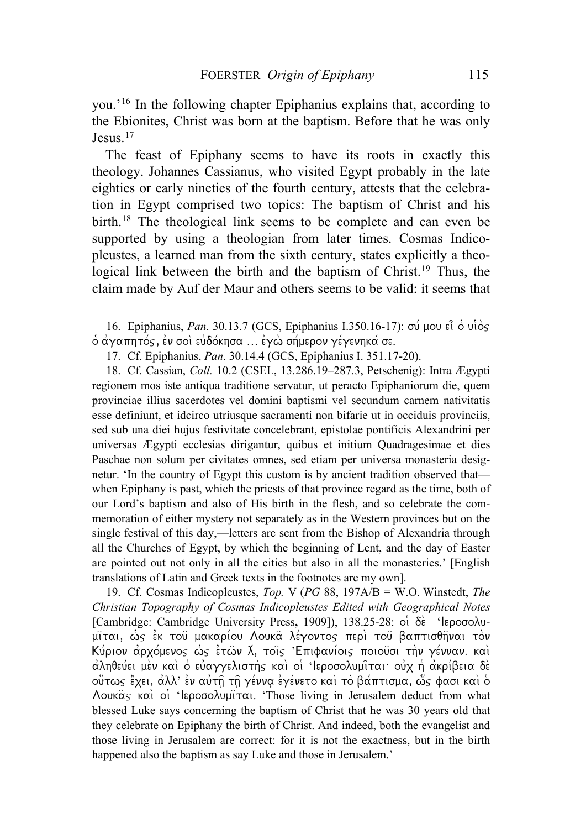you.'[16](#page-5-0) In the following chapter Epiphanius explains that, according to the Ebionites, Christ was born at the baptism. Before that he was only Jesus.<sup>[17](#page-5-1)</sup>

[The feast of Epiphany seems to have its roots in exactly this](#page-5-1)  theology. [Johannes Cassianus, who visited Egypt probably in the late](#page-5-1)  [eighties or early nineties of the fourth century, attests that the celebra](#page-5-1)[tion in Egypt comprised two topics: The baptism of Christ and his](#page-5-1)  [birth.](#page-5-1)<sup>18</sup> The theological link seems to be complete and can even be [supported by using a theologian from later times. Cosmas Indico](#page-5-2)[pleustes, a learned man from the sixth century, states explicitly a theo](#page-5-2)logical link between the birth and the baptism of Christ.<sup>19</sup> Thus, the [claim made by Auf der Maur and others seems to be valid: it seems that](#page-5-2) 

<span id="page-5-0"></span> $\delta$  άγαπητός, εν σοὶ εὐδόκησα … εγὼ σήμερον γέγενηκά σε. 16. Epiphanius, Pan[. 30.13.7 \(GCS, Epiphanius I.350.16-17\):](#page-5-2) σύ μου εἶ ὁ υἱὸς

17. Cf. Epiphanius, *Pan*. 30.14.4 (GCS, Epiphanius I. 351.17-20).

<span id="page-5-1"></span>18. Cf. Cassian, *Coll.* 10.2 (CSEL, 13.286.19–287.3, Petschenig): Intra Ægypti regionem mos iste antiqua traditione servatur, ut peracto Epiphaniorum die, quem provinciae illius sacerdotes vel domini baptismi vel secundum carnem nativitatis esse definiunt, et idcirco utriusque sacramenti non bifarie ut in occiduis provinciis, sed sub una diei hujus festivitate concelebrant, epistolae pontificis Alexandrini per universas Ægypti ecclesias dirigantur, quibus et initium Quadragesimae et dies Paschae non solum per civitates omnes, sed etiam per universa monasteria designetur. 'In the country of Egypt this custom is by ancient tradition observed that when Epiphany is past, which the priests of that province regard as the time, both of our Lord's baptism and also of His birth in the flesh, and so celebrate the commemoration of either mystery not separately as in the Western provinces but on the single festival of this day,—letters are sent from the Bishop of Alexandria through all the Churches of Egypt, by which the beginning of Lent, and the day of Easter are pointed out not only in all the cities but also in all the monasteries.' [English translations of Latin and Greek texts in the footnotes are my own].

<span id="page-5-2"></span>19. Cf. Cosmas Indicopleustes, *Top.* V (*PG* 88, 197A/B = W.O. Winstedt, *The Christian Topography of Cosmas Indicopleustes Edited with Geographical Notes* [Cambridge: Cambridge University Press, 1909]), 138.25-28: oi δε 'lεροσολυ- $\mu$ ίται, ως έκ του μακαρίου Λουκα λέγοντος περι του βαπτισθήναι τον Kύριον αρχόμενος ως ετών λ, τοις Έπιφανίοις ποιούσι την γένναν. και αληθεύει μεν και ο εύαγγελιστής και οι 'Ιεροσολυμιται ουχ ή ακρίβεια δε  $\sim$ οὕτως ἔχει, ἀλλ' ἐν αὐτῇ τῆ γέννα ἐγένετο καὶ τὸ βάπτισμα, ὧς φασι καὶ ὁ  $\Lambda$ ouka $\varsigma$  kai oi 'lepogo $\lambda$ uµi $\tau$ ai. 'Those living in Jerusalem deduct from what blessed Luke says concerning the baptism of Christ that he was 30 years old that they celebrate on Epiphany the birth of Christ. And indeed, both the evangelist and those living in Jerusalem are correct: for it is not the exactness, but in the birth happened also the baptism as say Luke and those in Jerusalem.'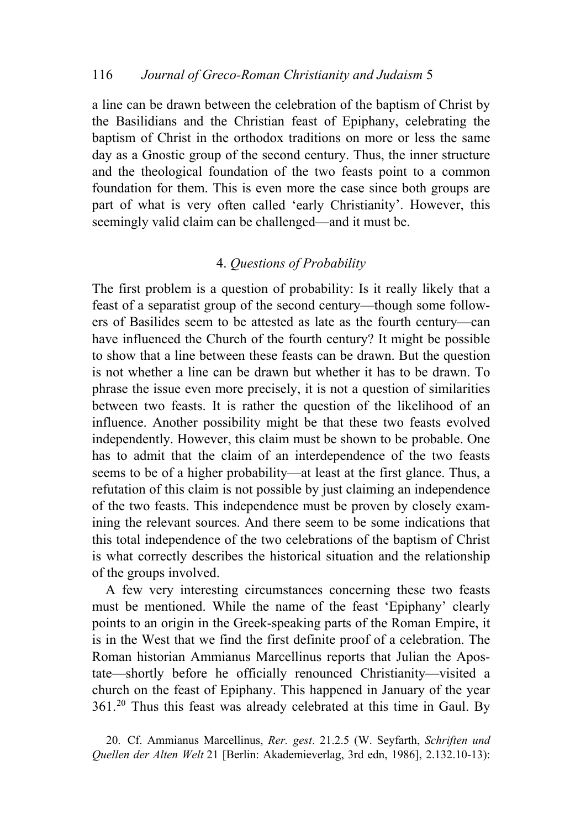[a line can be drawn between the celebration of the baptism of Christ by](#page-5-2)  [the Basilidians and the Christian feast of Epiphany, celebrating the](#page-5-2)  [baptism of Christ in the orthodox traditions on more or less the same](#page-5-2)  [day as a Gnostic group of the second century. Thus, the inner structure](#page-5-2)  [and the theological foundation of the two feasts point to](#page-5-2) a common foundation for them. This is even more the case since both groups are part of what is very often called 'early Christianity'. However, this seemingly valid claim can be challenged—and it must be.

## 4. *Questions of Probability*

ining the relevant sources. And there seem to be some indications that th is total independence of the two celebrations of the baptism of Christ The first problem is a question of probability: Is it really likely that a feast of a separatist group of the second century—though some followers of Basilides seem to be attested as late as the fourth century—can have influenced the Church of the fourth century? It might be possible to show that a line between these feasts can be drawn. But the question is not whether a line can be drawn but whether it has to be drawn. To phrase the issue even more precisely, it is not a question of similarities between two feasts. It is rather the question of the likelihood of an influence. Another possibility might be that these two feasts evolved independently. However, this claim must be shown to be probable. One has to admit that the claim of an interdependence of the two feasts seems to be of a higher probability—at least at the first glance. Thus, a refutation of this claim is not possible by just claiming an independence of the two feasts. This independence must be proven by closely examis what correctly describes the historical situation and the relationship of the groups involved.

tate—shortly before he officially renounced Christianity—visited a ch urch on the feast of Epiphany. This happened in January of the year A few very interesting circumstances concerning these two feasts must be mentioned. While the name of the feast 'Epiphany' clearly points to an origin in the Greek-speaking parts of the Roman Empire, it is in the West that we find the first definite proof of a celebration. The Roman historian Ammianus Marcellinus reports that Julian the Apos-361.20 Thus this feast was already celebrated at this time in Gaul. By

<span id="page-6-0"></span><sup>20.</sup> Cf. Ammianus Marcellinus, *Rer. gest*. 21.2.5 (W. Seyfarth, *Schriften und Quellen der Alten Welt* 21 [Berlin: Akademieverlag, 3rd edn, 1986], 2.132.10-13):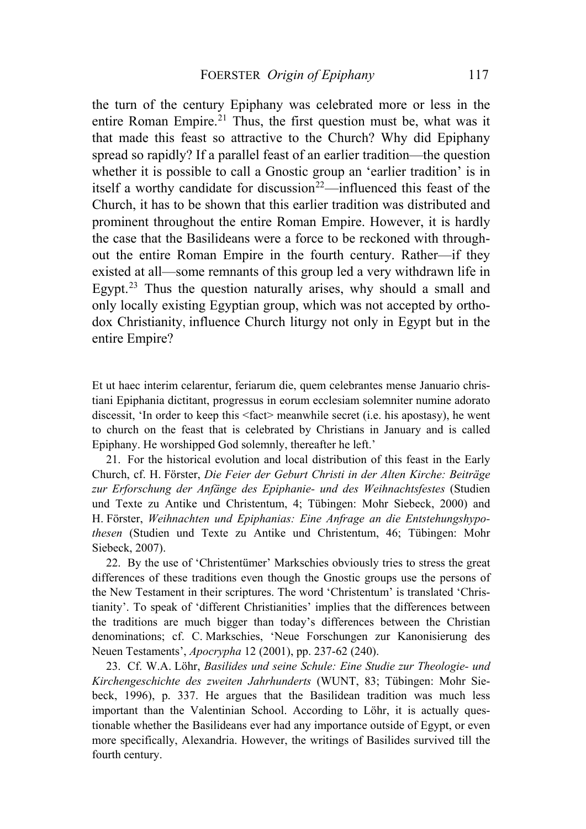the turn of the century Epiphany was celebrated more or less in the entire Roman Empire.<sup>[21](#page-6-0)</sup> Thus, the first question must be, what was it that made this feast so attractive to the Church? Why did Epiphany spread so rapidly? If a parallel feast of an earlier tradition—the question whether it is possible to call a Gnostic group an 'earlier tradition' is in itself a worthy candidate for discussion<sup>[22](#page-7-0)</sup>—influenced this feast of the Church, it has to be shown that this earlier tradition was distributed and prominent throughout the entire Roman Empire. However, it is hardly the case that the Basilideans were a force to be reckoned with throughout the entire Roman Empire in the fourth century. Rather—if they existed at all—some remnants of this group led a very withdrawn life in Egypt.<sup>[23](#page-7-1)</sup> Thus the question naturally arises, why should a small and only locally existing Egyptian group, which was not accepted by orthodox Christianity, influence Church liturgy not only in Egypt but in the entire Empire?

Et ut haec interim celarentur, feriarum die, quem celebrantes mense Januario christiani Epiphania dictitant, progressus in eorum ecclesiam solemniter numine adorato discessit, 'In order to keep this <fact> meanwhile secret (i.e. his apostasy), he went to church on the feast that is celebrated by Christians in January and is called Epiphany. He worshipped God solemnly, thereafter he left.'

<span id="page-7-0"></span>21. For the historical evolution and local distribution of this feast in the Early Church, cf. H. Förster, *Die Feier der Geburt Christi in der Alten Kirche: Beiträge zur Erforschung der Anfänge des Epiphanie- und des Weihnachtsfestes* (Studien und Texte zu Antike und Christentum, 4; Tübingen: Mohr Siebeck, 2000) and H. Förster, *Weihnachten und Epiphanias: Eine Anfrage an die Entstehungshypothesen* (Studien und Texte zu Antike und Christentum, 46; Tübingen: Mohr Siebeck, 2007).

<span id="page-7-1"></span>22. By the use of 'Christentümer' Markschies obviously tries to stress the great differences of these traditions even though the Gnostic groups use the persons of the New Testament in their scriptures. The word 'Christentum' is translated 'Christianity'. To speak of 'different Christianities' implies that the differences between the traditions are much bigger than today's differences between the Christian denominations; cf. C. Markschies, 'Neue Forschungen zur Kanonisierung des Neuen Testaments', *Apocrypha* 12 (2001), pp. 237-62 (240).

23. Cf. W.A. Löhr, *Basilides und seine Schule: Eine Studie zur Theologie- und Kirchengeschichte des zweiten Jahrhunderts* (WUNT, 83; Tübingen: Mohr Siebeck, 1996), p. 337. He argues that the Basilidean tradition was much less important than the Valentinian School. According to Löhr, it is actually questionable whether the Basilideans ever had any importance outside of Egypt, or even more specifically, Alexandria. However, the writings of Basilides survived till the fourth century.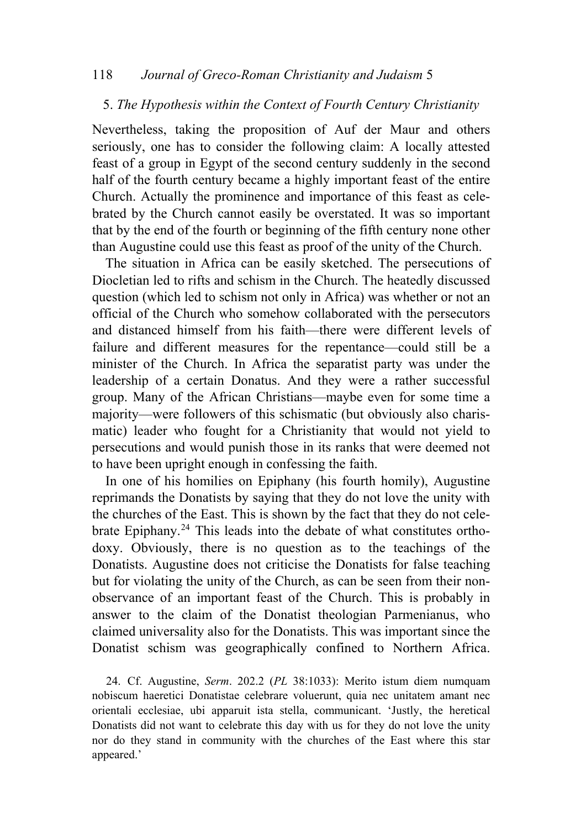#### 118 *Journal of Greco-Roman Christianity and Judaism* 5

#### 5. *The Hypothesis within the Context of Fourth Century Christianity*

Nevertheless, taking the proposition of Auf der Maur and others seriously, one has to consider the following claim: A locally attested feast of a group in Egypt of the second century suddenly in the second half of the fourth century became a highly important feast of the entire Church. Actually the prominence and importance of this feast as celebrated by the Church cannot easily be overstated. It was so important that by the end of the fourth or beginning of the fifth century none other than Augustine could use this feast as proof of the unity of the Church.

The situation in Africa can be easily sketched. The persecutions of Diocletian led to rifts and schism in the Church. The heatedly discussed question (which led to schism not only in Africa) was whether or not an official of the Church who somehow collaborated with the persecutors and distanced himself from his faith—there were different levels of failure and different measures for the repentance—could still be a minister of the Church. In Africa the separatist party was under the leadership of a certain Donatus. And they were a rather successful group. Many of the African Christians—maybe even for some time a majority—were followers of this schismatic (but obviously also charismatic) leader who fought for a Christianity that would not yield to persecutions and would punish those in its ranks that were deemed not to have been upright enough in confessing the faith.

In one of his homilies on Epiphany (his fourth homily), Augustine reprimands the Donatists by saying that they do not love the unity with the churches of the East. This is shown by the fact that they do not celebrate Epiphany.[24](#page-8-0) This leads into the debate of what constitutes orthodoxy. Obviously, there is no question as to the teachings of the Donatists. Augustine does not criticise the Donatists for false teaching but for violating the unity of the Church, as can be seen from their nonobservance of an important feast of the Church. This is probably in answer to the claim of the Donatist theologian Parmenianus, who claimed universality also for the Donatists. This was important since the Donatist schism was geographically confined to Northern Africa.

<span id="page-8-0"></span>24. Cf. Augustine, *Serm*. 202.2 (*PL* 38:1033): Merito istum diem numquam nobiscum haeretici Donatistae celebrare voluerunt, quia nec unitatem amant nec orientali ecclesiae, ubi apparuit ista stella, communicant. 'Justly, the heretical Donatists did not want to celebrate this day with us for they do not love the unity nor do they stand in community with the churches of the East where this star appeared.'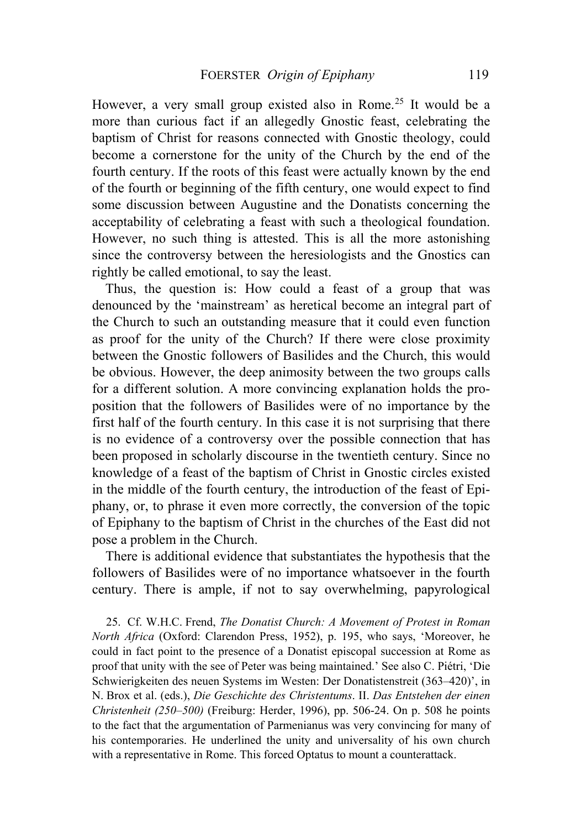However, a very small group existed also in Rome.<sup>[25](#page-9-0)</sup> It would be a more than curious fact if an allegedly Gnostic feast, celebrating the baptism of Christ for reasons connected with Gnostic theology, could become a cornerstone for the unity of the Church by the end of the fourth century. If the roots of this feast were actually known by the end of the fourth or beginning of the fifth century, one would expect to find some discussion between Augustine and the Donatists concerning the acceptability of celebrating a feast with such a theological foundation. However, no such thing is attested. This is all the more astonishing since the controversy between the heresiologists and the Gnostics can rightly be called emotional, to say the least.

Thus, the question is: How could a feast of a group that was denounced by the 'mainstream' as heretical become an integral part of the Church to such an outstanding measure that it could even function as proof for the unity of the Church? If there were close proximity between the Gnostic followers of Basilides and the Church, this would be obvious. However, the deep animosity between the two groups calls for a different solution. A more convincing explanation holds the proposition that the followers of Basilides were of no importance by the first half of the fourth century. In this case it is not surprising that there is no evidence of a controversy over the possible connection that has been proposed in scholarly discourse in the twentieth century. Since no knowledge of a feast of the baptism of Christ in Gnostic circles existed in the middle of the fourth century, the introduction of the feast of Epiphany, or, to phrase it even more correctly, the conversion of the topic of Epiphany to the baptism of Christ in the churches of the East did not pose a problem in the Church.

 There is additional evidence that substantiates the hypothesis that the followers of Basilides were of no importance whatsoever in the fourth century. There is ample, if not to say overwhelming, papyrological

<span id="page-9-0"></span>25. Cf. W.H.C. Frend, *The Donatist Church: A Movement of Protest in Roman North Africa* (Oxford: Clarendon Press, 1952), p. 195, who says, 'Moreover, he could in fact point to the presence of a Donatist episcopal succession at Rome as proof that unity with the see of Peter was being maintained.' See also C. Piétri, 'Die Schwierigkeiten des neuen Systems im Westen: Der Donatistenstreit (363–420)', in N. Brox et al. (eds.), *Die Geschichte des Christentums*. II. *Das Entstehen der einen Christenheit (250–500)* (Freiburg: Herder, 1996), pp. 506-24. On p. 508 he points to the fact that the argumentation of Parmenianus was very convincing for many of his contemporaries. He underlined the unity and universality of his own church with a representative in Rome. This forced Optatus to mount a counterattack.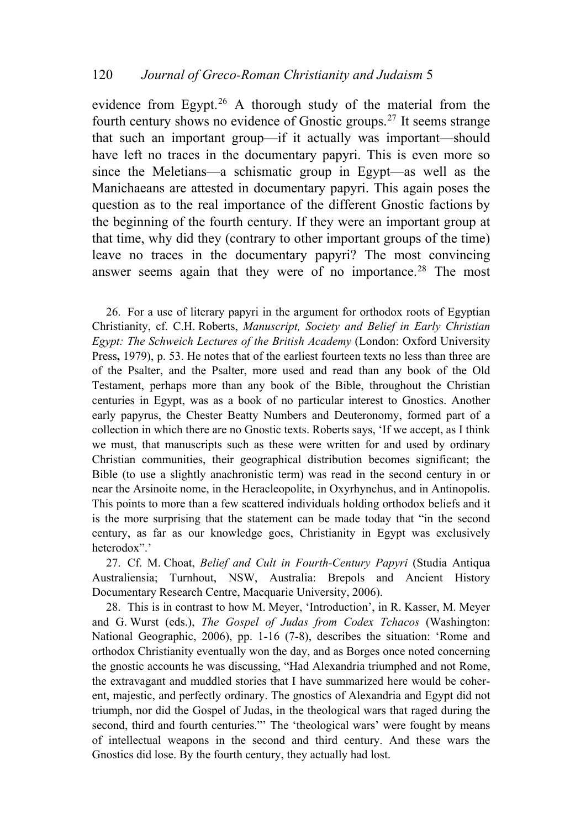evidence from Egypt.<sup>[26](#page-10-0)</sup> A thorough study of the material from the fourth century shows no evidence of Gnostic groups.[27](#page-10-1) It seems strange that such an important group—if it actually was important—should have left no traces in the documentary papyri. This is even more so since the Meletians—a schismatic group in Egypt—as well as the Manichaeans are attested in documentary papyri. This again poses the question as to the real importance of the different Gnostic factions by the beginning of the fourth century. If they were an important group at that time, why did they (contrary to other important groups of the time) leave no traces in the documentary papyri? The most convincing answer seems again that they were of no importance.<sup>[28](#page-10-2)</sup> The most

<span id="page-10-0"></span>26. For a use of literary papyri in the argument for orthodox roots of Egyptian Christianity, cf. C.H. Roberts, *Manuscript, Society and Belief in Early Christian Egypt: The Schweich Lectures of the British Academy* (London: Oxford University Press**,** 1979), p. 53. He notes that of the earliest fourteen texts no less than three are of the Psalter, and the Psalter, more used and read than any book of the Old Testament, perhaps more than any book of the Bible, throughout the Christian centuries in Egypt, was as a book of no particular interest to Gnostics. Another early papyrus, the Chester Beatty Numbers and Deuteronomy, formed part of a collection in which there are no Gnostic texts. Roberts says, 'If we accept, as I think we must, that manuscripts such as these were written for and used by ordinary Christian communities, their geographical distribution becomes significant; the Bible (to use a slightly anachronistic term) was read in the second century in or near the Arsinoite nome, in the Heracleopolite, in Oxyrhynchus, and in Antinopolis. This points to more than a few scattered individuals holding orthodox beliefs and it is the more surprising that the statement can be made today that "in the second century, as far as our knowledge goes, Christianity in Egypt was exclusively heterodox".'

<span id="page-10-1"></span>27. Cf. M. Choat, *Belief and Cult in Fourth-Century Papyri* (Studia Antiqua Australiensia; Turnhout, NSW, Australia: Brepols and Ancient History Documentary Research Centre, Macquarie University, 2006).

<span id="page-10-2"></span>28. This is in contrast to how M. Meyer, 'Introduction', in R. Kasser, M. Meyer and G. Wurst (eds.), *The Gospel of Judas from Codex Tchacos* (Washington: National Geographic, 2006), pp. 1-16 (7-8), describes the situation: 'Rome and orthodox Christianity eventually won the day, and as Borges once noted concerning the gnostic accounts he was discussing, "Had Alexandria triumphed and not Rome, the extravagant and muddled stories that I have summarized here would be coherent, majestic, and perfectly ordinary. The gnostics of Alexandria and Egypt did not triumph, nor did the Gospel of Judas, in the theological wars that raged during the second, third and fourth centuries."' The 'theological wars' were fought by means of intellectual weapons in the second and third century. And these wars the Gnostics did lose. By the fourth century, they actually had lost.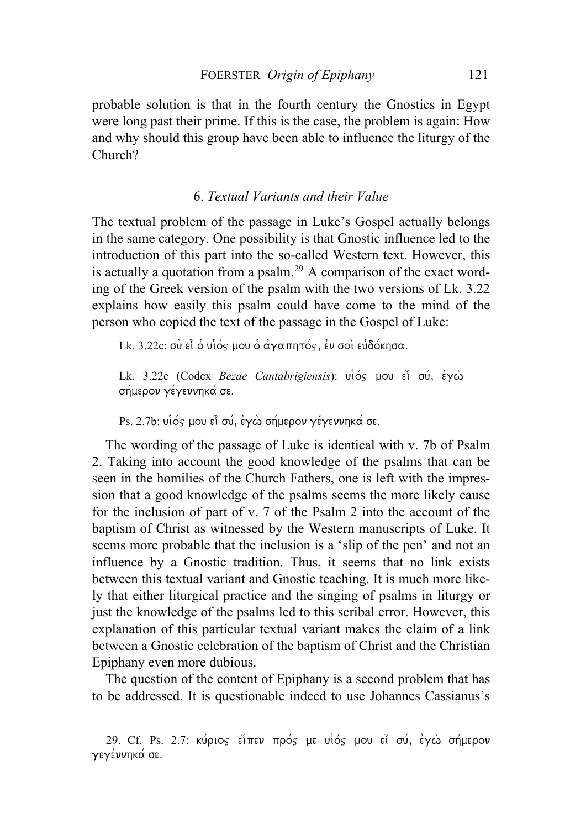probable solution is that in the fourth century the Gnostics in Egypt were long past their prime. If this is the case, the problem is again: How and why should this group have been able to influence the liturgy of the Church?

### 6. *Textual Variants and their Value*

The textual problem of the passage in Luke's Gospel actually belongs in the same category. One possibility is that Gnostic influence led to the introduction of this part into the so-called Western text. However, this is actually a quotation from a psalm.<sup>[29](#page-11-0)</sup> A comparison of the exact wording of the Greek version of the psalm with the two versions of Lk. 3.22 explains how easily this psalm could have come to the mind of the person who copied the text of the passage in the Gospel of Luke:

Lk. 3.22c: σὺ εἶ ὁ υἱός μου ὁ ἀγαπητός, εν σοὶ εὐδόκησα.

Lk. 3.22c (Codex *Bezae Cantabrigiensis*): υιός μου εί σύ, έγω σήμερον γέγεννηκά σε.

Ps. 2.7b: υιός μου εί σύ, έγω σήμερον γέγεννηκά σε.

The wording of the passage of Luke is identical with v. 7b of Psalm 2. Taking into account the good knowledge of the psalms that can be seen in the homilies of the Church Fathers, one is left with the impression that a good knowledge of the psalms seems the more likely cause for the inclusion of part of v. 7 of the Psalm 2 into the account of the baptism of Christ as witnessed by the Western manuscripts of Luke. It seems more probable that the inclusion is a 'slip of the pen' and not an influence by a Gnostic tradition. Thus, it seems that no link exists between this textual variant and Gnostic teaching. It is much more likely that either liturgical practice and the singing of psalms in liturgy or just the knowledge of the psalms led to this scribal error. However, this explanation of this particular textual variant makes the claim of a link between a Gnostic celebration of the baptism of Christ and the Christian Epiphany even more dubious.

 The question of the content of Epiphany is a second problem that has to be addressed. It is questionable indeed to use Johannes Cassianus's

<span id="page-11-0"></span><sup>29.</sup> Cf. Ps. 2.7: κύριος είπεν πρός με υιός μου εί σύ, έγω σήμερον γεγέννηκά σε.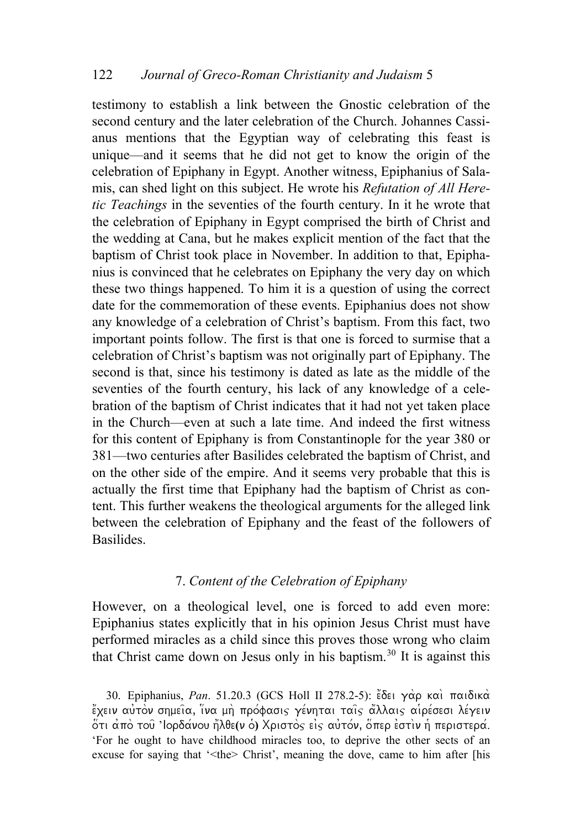testimony to establish a link between the Gnostic celebration of the second century and the later celebration of the Church. Johannes Cassianus mentions that the Egyptian way of celebrating this feast is unique—and it seems that he did not get to know the origin of the celebration of Epiphany in Egypt. Another witness, Epiphanius of Salamis, can shed light on this subject. He wrote his *Refutation of All Heretic Teachings* in the seventies of the fourth century. In it he wrote that the celebration of Epiphany in Egypt comprised the birth of Christ and the wedding at Cana, but he makes explicit mention of the fact that the baptism of Christ took place in November. In addition to that, Epiphanius is convinced that he celebrates on Epiphany the very day on which these two things happened. To him it is a question of using the correct date for the commemoration of these events. Epiphanius does not show any knowledge of a celebration of Christ's baptism. From this fact, two important points follow. The first is that one is forced to surmise that a celebration of Christ's baptism was not originally part of Epiphany. The second is that, since his testimony is dated as late as the middle of the seventies of the fourth century, his lack of any knowledge of a celebration of the baptism of Christ indicates that it had not yet taken place in the Church—even at such a late time. And indeed the first witness for this content of Epiphany is from Constantinople for the year 380 or 381—two centuries after Basilides celebrated the baptism of Christ, and on the other side of the empire. And it seems very probable that this is actually the first time that Epiphany had the baptism of Christ as content. This further weakens the theological arguments for the alleged link between the celebration of Epiphany and the feast of the followers of Basilides.

### 7. *Content of the Celebration of Epiphany*

However, on a theological level, one is forced to add even more: Epiphanius states explicitly that in his opinion Jesus Christ must have performed miracles as a child since this proves those wrong who claim that Christ came down on Jesus only in his baptism.[30](#page-12-0) It is against this

<span id="page-12-0"></span>30. Epiphanius, *Pan.* 51.20.3 (GCS Holl II 278.2-5): Eδει γάρ και παιδικά έχειν αύτον σημεία, ίνα μη πρόφασις γένηται ταίς άλλαις αιρέσεσι λέγειν  $\delta$ τι από τοῦ 'lορδανου ἤλθε(ν ὁ) Χριστὸς εἰς αὐτόν, ὅπερ ἐστὶν ἡ περιστερα. 'For he ought to have childhood miracles too, to deprive the other sects of an excuse for saying that '<the> Christ', meaning the dove, came to him after [his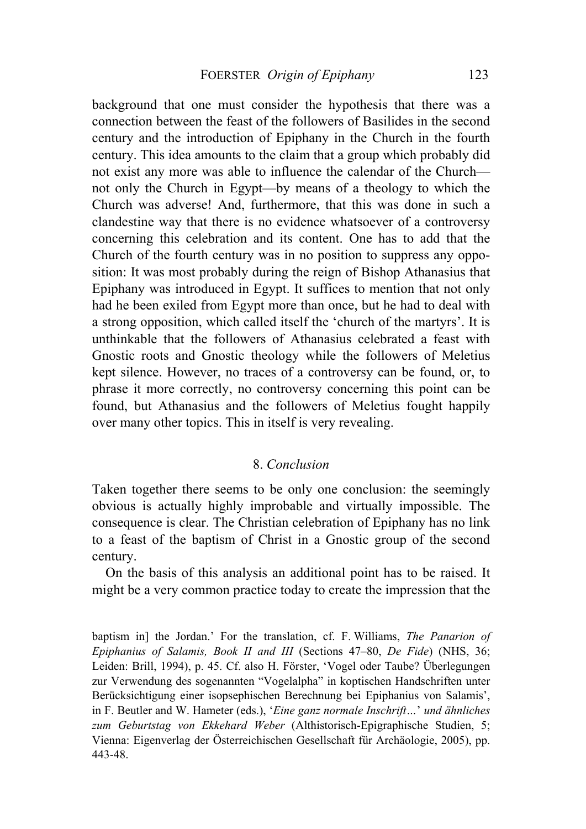background that one must consider the hypothesis that there was a connection between the feast of the followers of Basilides in the second century and the introduction of Epiphany in the Church in the fourth century. This idea amounts to the claim that a group which probably did not exist any more was able to influence the calendar of the Church not only the Church in Egypt—by means of a theology to which the Church was adverse! And, furthermore, that this was done in such a clandestine way that there is no evidence whatsoever of a controversy concerning this celebration and its content. One has to add that the Church of the fourth century was in no position to suppress any opposition: It was most probably during the reign of Bishop Athanasius that Epiphany was introduced in Egypt. It suffices to mention that not only had he been exiled from Egypt more than once, but he had to deal with a strong opposition, which called itself the 'church of the martyrs'. It is unthinkable that the followers of Athanasius celebrated a feast with Gnostic roots and Gnostic theology while the followers of Meletius kept silence. However, no traces of a controversy can be found, or, to phrase it more correctly, no controversy concerning this point can be found, but Athanasius and the followers of Meletius fought happily over many other topics. This in itself is very revealing.

### 8. *Conclusion*

Taken together there seems to be only one conclusion: the seemingly obvious is actually highly improbable and virtually impossible. The consequence is clear. The Christian celebration of Epiphany has no link to a feast of the baptism of Christ in a Gnostic group of the second century.

 On the basis of this analysis an additional point has to be raised. It might be a very common practice today to create the impression that the

baptism in] the Jordan.' For the translation, cf. F. Williams, *The Panarion of Epiphanius of Salamis, Book II and III* (Sections 47–80, *De Fide*) (NHS, 36; Leiden: Brill, 1994), p. 45. Cf. also H. Förster, 'Vogel oder Taube? Überlegungen zur Verwendung des sogenannten "Vogelalpha" in koptischen Handschriften unter Berücksichtigung einer isopsephischen Berechnung bei Epiphanius von Salamis', in F. Beutler and W. Hameter (eds.), '*Eine ganz normale Inschrift…*' *und ähnliches zum Geburtstag von Ekkehard Weber* (Althistorisch-Epigraphische Studien, 5; Vienna: Eigenverlag der Österreichischen Gesellschaft für Archäologie, 2005), pp. 443-48.